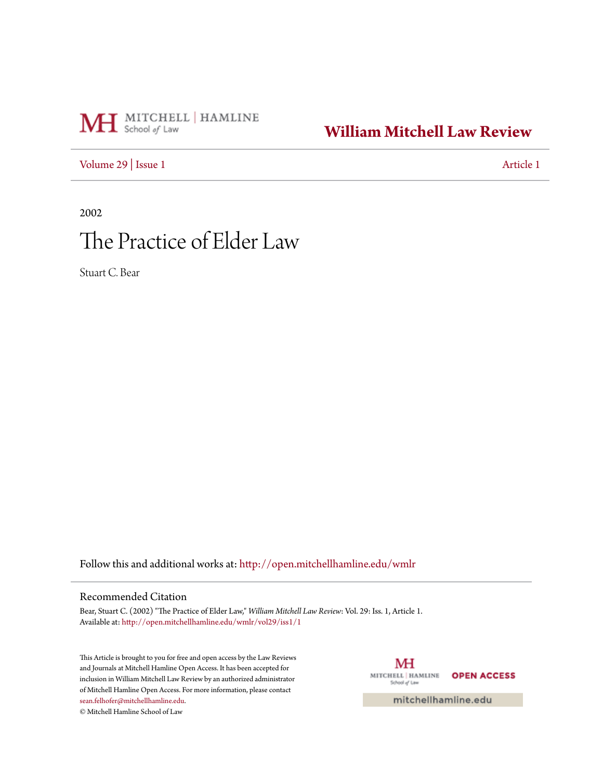# MH School of Law

### **[William Mitchell Law Review](http://open.mitchellhamline.edu/wmlr?utm_source=open.mitchellhamline.edu%2Fwmlr%2Fvol29%2Fiss1%2F1&utm_medium=PDF&utm_campaign=PDFCoverPages)**

[Volume 29](http://open.mitchellhamline.edu/wmlr/vol29?utm_source=open.mitchellhamline.edu%2Fwmlr%2Fvol29%2Fiss1%2F1&utm_medium=PDF&utm_campaign=PDFCoverPages) | [Issue 1](http://open.mitchellhamline.edu/wmlr/vol29/iss1?utm_source=open.mitchellhamline.edu%2Fwmlr%2Fvol29%2Fiss1%2F1&utm_medium=PDF&utm_campaign=PDFCoverPages) [Article 1](http://open.mitchellhamline.edu/wmlr/vol29/iss1/1?utm_source=open.mitchellhamline.edu%2Fwmlr%2Fvol29%2Fiss1%2F1&utm_medium=PDF&utm_campaign=PDFCoverPages)

2002

## The Practice of Elder Law

Stuart C. Bear

Follow this and additional works at: [http://open.mitchellhamline.edu/wmlr](http://open.mitchellhamline.edu/wmlr?utm_source=open.mitchellhamline.edu%2Fwmlr%2Fvol29%2Fiss1%2F1&utm_medium=PDF&utm_campaign=PDFCoverPages)

### Recommended Citation

Bear, Stuart C. (2002) "The Practice of Elder Law," *William Mitchell Law Review*: Vol. 29: Iss. 1, Article 1. Available at: [http://open.mitchellhamline.edu/wmlr/vol29/iss1/1](http://open.mitchellhamline.edu/wmlr/vol29/iss1/1?utm_source=open.mitchellhamline.edu%2Fwmlr%2Fvol29%2Fiss1%2F1&utm_medium=PDF&utm_campaign=PDFCoverPages)

This Article is brought to you for free and open access by the Law Reviews and Journals at Mitchell Hamline Open Access. It has been accepted for inclusion in William Mitchell Law Review by an authorized administrator of Mitchell Hamline Open Access. For more information, please contact [sean.felhofer@mitchellhamline.edu](mailto:sean.felhofer@mitchellhamline.edu). © Mitchell Hamline School of Law

MH MITCHELL | HAMLINE **OPEN ACCESS** School of Law

mitchellhamline.edu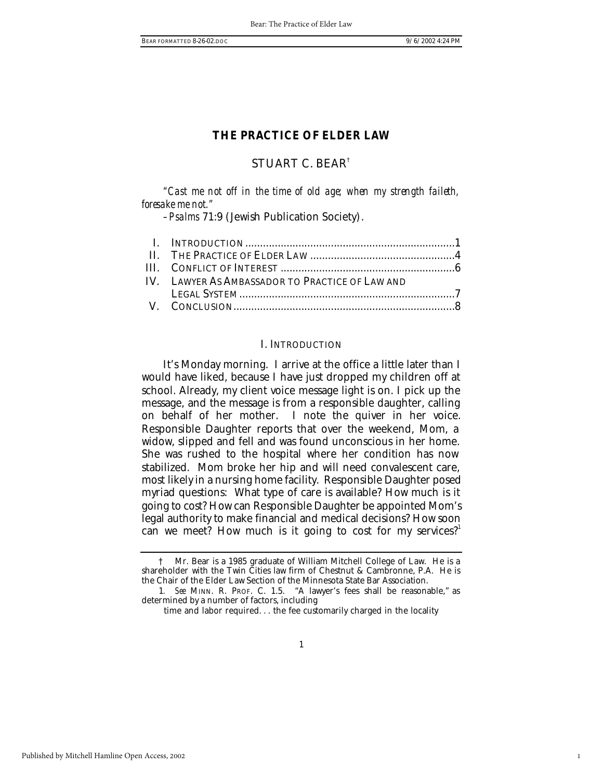1

#### **THE PRACTICE OF ELDER LAW**

### STUART C. BEAR†

#### *"Cast me not off in the time of old age; when my strength faileth, foresake me not."*

*–Psalms* 71:9 (Jewish Publication Society).

| IV. LAWYER AS AMBASSADOR TO PRACTICE OF LAW AND |  |
|-------------------------------------------------|--|
|                                                 |  |
|                                                 |  |
|                                                 |  |

#### I. INTRODUCTION

It's Monday morning. I arrive at the office a little later than I would have liked, because I have just dropped my children off at school. Already, my client voice message light is on. I pick up the message, and the message is from a responsible daughter, calling on behalf of her mother. I note the quiver in her voice. Responsible Daughter reports that over the weekend, Mom, a widow, slipped and fell and was found unconscious in her home. She was rushed to the hospital where her condition has now stabilized. Mom broke her hip and will need convalescent care, most likely in a nursing home facility. Responsible Daughter posed myriad questions: What type of care is available? How much is it going to cost? How can Responsible Daughter be appointed Mom's legal authority to make financial and medical decisions? How soon can we meet? How much is it going to cost for my services? $1$ 

<sup>†</sup> Mr. Bear is a 1985 graduate of William Mitchell College of Law. He is a shareholder with the Twin Cities law firm of Chestnut & Cambronne, P.A. He is the Chair of the Elder Law Section of the Minnesota State Bar Association.

<sup>1</sup>*. See* MINN. R. PROF. C. 1.5. "A lawyer's fees shall be reasonable," as determined by a number of factors, including

time and labor required. . . the fee customarily charged in the locality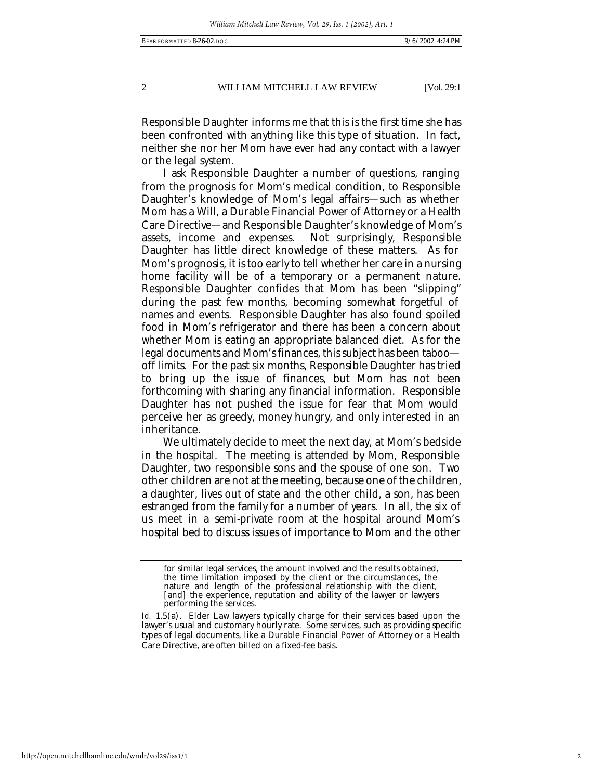2 WILLIAM MITCHELL LAW REVIEW [Vol. 29:1

Responsible Daughter informs me that this is the first time she has been confronted with anything like this type of situation. In fact, neither she nor her Mom have ever had any contact with a lawyer or the legal system.

I ask Responsible Daughter a number of questions, ranging from the prognosis for Mom's medical condition, to Responsible Daughter's knowledge of Mom's legal affairs—such as whether Mom has a Will, a Durable Financial Power of Attorney or a Health Care Directive—and Responsible Daughter's knowledge of Mom's assets, income and expenses. Daughter has little direct knowledge of these matters. As for Mom's prognosis, it is too early to tell whether her care in a nursing home facility will be of a temporary or a permanent nature. Responsible Daughter confides that Mom has been "slipping" during the past few months, becoming somewhat forgetful of names and events. Responsible Daughter has also found spoiled food in Mom's refrigerator and there has been a concern about whether Mom is eating an appropriate balanced diet. As for the legal documents and Mom's finances, this subject has been taboo off limits. For the past six months, Responsible Daughter has tried to bring up the issue of finances, but Mom has not been forthcoming with sharing any financial information. Responsible Daughter has not pushed the issue for fear that Mom would perceive her as greedy, money hungry, and only interested in an inheritance.

We ultimately decide to meet the next day, at Mom's bedside in the hospital. The meeting is attended by Mom, Responsible Daughter, two responsible sons and the spouse of one son. Two other children are not at the meeting, because one of the children, a daughter, lives out of state and the other child, a son, has been estranged from the family for a number of years. In all, the six of us meet in a semi-private room at the hospital around Mom's hospital bed to discuss issues of importance to Mom and the other

for similar legal services, the amount involved and the results obtained, the time limitation imposed by the client or the circumstances, the nature and length of the professional relationship with the client, [and] the experience, reputation and ability of the lawyer or lawyers performing the services.

*Id.* 1.5(a). Elder Law lawyers typically charge for their services based upon the lawyer's usual and customary hourly rate. Some services, such as providing specific types of legal documents, like a Durable Financial Power of Attorney or a Health Care Directive, are often billed on a fixed-fee basis.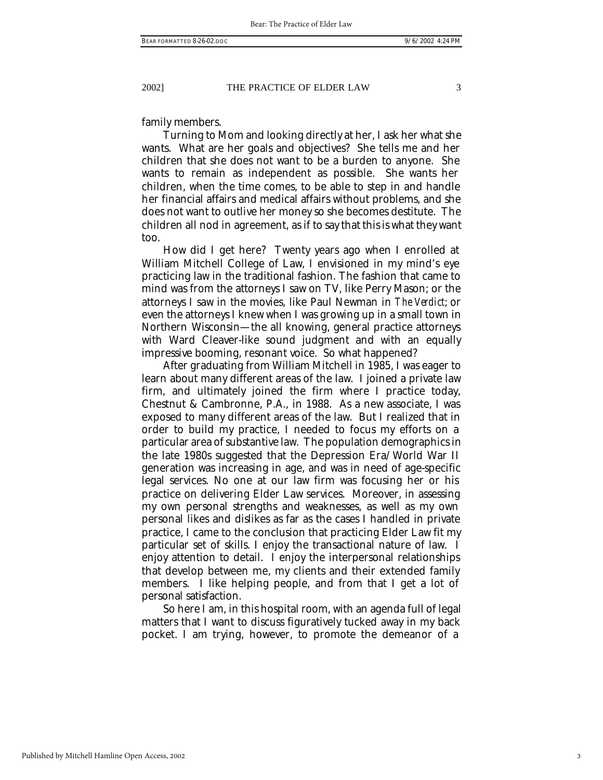2002] THE PRACTICE OF ELDER LAW 3

family members.

Turning to Mom and looking directly at her, I ask her what she wants. What are her goals and objectives? She tells me and her children that she does not want to be a burden to anyone. She wants to remain as independent as possible. She wants her children, when the time comes, to be able to step in and handle her financial affairs and medical affairs without problems, and she does not want to outlive her money so she becomes destitute. The children all nod in agreement, as if to say that this is what they want too.

How did I get here? Twenty years ago when I enrolled at William Mitchell College of Law, I envisioned in my mind's eye practicing law in the traditional fashion. The fashion that came to mind was from the attorneys I saw on TV, like Perry Mason; or the attorneys I saw in the movies, like Paul Newman in *The Verdict*; or even the attorneys I knew when I was growing up in a small town in Northern Wisconsin—the all knowing, general practice attorneys with Ward Cleaver-like sound judgment and with an equally impressive booming, resonant voice. So what happened?

After graduating from William Mitchell in 1985, I was eager to learn about many different areas of the law. I joined a private law firm, and ultimately joined the firm where I practice today, Chestnut & Cambronne, P.A., in 1988. As a new associate, I was exposed to many different areas of the law. But I realized that in order to build my practice, I needed to focus my efforts on a particular area of substantive law. The population demographics in the late 1980s suggested that the Depression Era/World War II generation was increasing in age, and was in need of age-specific legal services. No one at our law firm was focusing her or his practice on delivering Elder Law services. Moreover, in assessing my own personal strengths and weaknesses, as well as my own personal likes and dislikes as far as the cases I handled in private practice, I came to the conclusion that practicing Elder Law fit my particular set of skills. I enjoy the transactional nature of law. I enjoy attention to detail. I enjoy the interpersonal relationships that develop between me, my clients and their extended family members. I like helping people, and from that I get a lot of personal satisfaction.

So here I am, in this hospital room, with an agenda full of legal matters that I want to discuss figuratively tucked away in my back pocket. I am trying, however, to promote the demeanor of a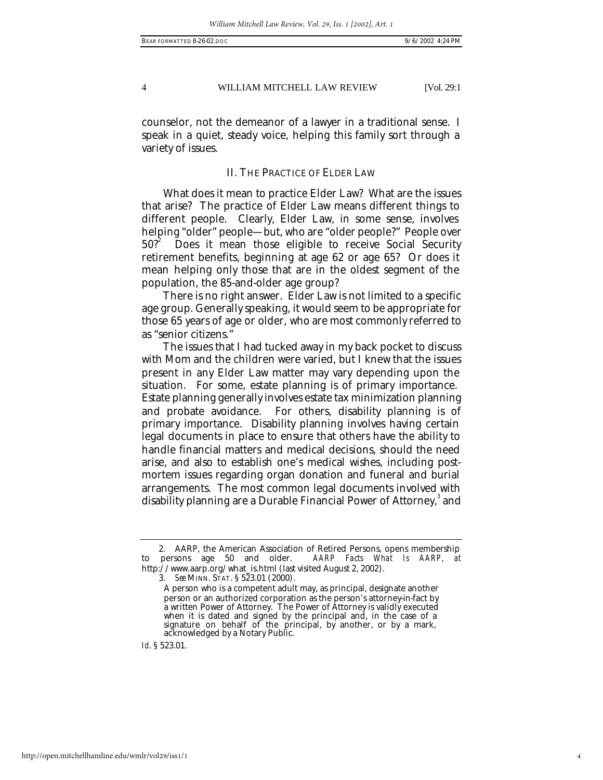4 WILLIAM MITCHELL LAW REVIEW [Vol. 29:1

counselor, not the demeanor of a lawyer in a traditional sense. I speak in a quiet, steady voice, helping this family sort through a variety of issues.

#### II. THE PRACTICE OF ELDER LAW

What does it mean to practice Elder Law? What are the issues that arise? The practice of Elder Law means different things to different people. Clearly, Elder Law, in some sense, involves helping "older" people—but, who are "older people?" People over  $50?^2$  Does it mean those eligible to receive Social Security retirement benefits, beginning at age 62 or age 65? Or does it mean helping only those that are in the oldest segment of the population, the 85-and-older age group?

There is no right answer. Elder Law is not limited to a specific age group. Generally speaking, it would seem to be appropriate for those 65 years of age or older, who are most commonly referred to as "senior citizens."

The issues that I had tucked away in my back pocket to discuss with Mom and the children were varied, but I knew that the issues present in any Elder Law matter may vary depending upon the situation. For some, estate planning is of primary importance. Estate planning generally involves estate tax minimization planning and probate avoidance. For others, disability planning is of primary importance. Disability planning involves having certain legal documents in place to ensure that others have the ability to handle financial matters and medical decisions, should the need arise, and also to establish one's medical wishes, including postmortem issues regarding organ donation and funeral and burial arrangements. The most common legal documents involved with disability planning are a Durable Financial Power of Attorney, $^{\rm 3}$  and

*Id*. § 523.01.

<sup>2.</sup> AARP, the American Association of Retired Persons, opens membership persons age 50 and older. AARP Facts What Is AARP, at to persons age 50 and older. http://www.aarp.org/what\_is.html (last visited August 2, 2002).

<sup>3</sup>*. See* MINN. STAT. § 523.01 (2000).

A person who is a competent adult may, as principal, designate another person or an authorized corporation as the person's attorney-in-fact by a written Power of Attorney. The Power of Attorney is validly executed when it is dated and signed by the principal and, in the case of a signature on behalf of the principal, by another, or by a mark, acknowledged by a Notary Public.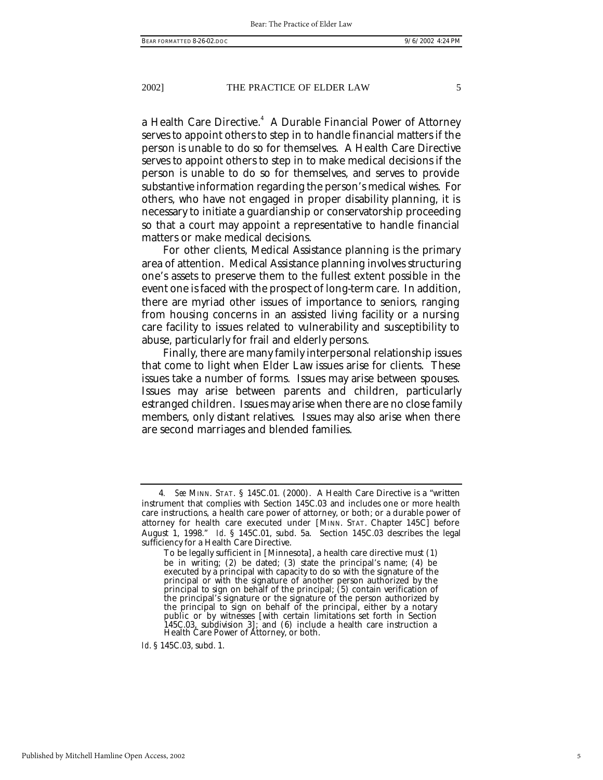#### 2002] THE PRACTICE OF ELDER LAW 5

a Health Care Directive.<sup>4</sup> A Durable Financial Power of Attorney serves to appoint others to step in to handle financial matters if the person is unable to do so for themselves. A Health Care Directive serves to appoint others to step in to make medical decisions if the person is unable to do so for themselves, and serves to provide substantive information regarding the person's medical wishes. For others, who have not engaged in proper disability planning, it is necessary to initiate a guardianship or conservatorship proceeding so that a court may appoint a representative to handle financial matters or make medical decisions.

For other clients, Medical Assistance planning is the primary area of attention. Medical Assistance planning involves structuring one's assets to preserve them to the fullest extent possible in the event one is faced with the prospect of long-term care. In addition, there are myriad other issues of importance to seniors, ranging from housing concerns in an assisted living facility or a nursing care facility to issues related to vulnerability and susceptibility to abuse, particularly for frail and elderly persons.

Finally, there are many family interpersonal relationship issues that come to light when Elder Law issues arise for clients. These issues take a number of forms. Issues may arise between spouses. Issues may arise between parents and children, particularly estranged children. Issues may arise when there are no close family members, only distant relatives. Issues may also arise when there are second marriages and blended families.

*Id*. § 145C.03, subd. 1.

<sup>4</sup>*. See* MINN. STAT. § 145C.01*.* (2000). A Health Care Directive is a "written instrument that complies with Section 145C.03 and includes one or more health care instructions, a health care power of attorney, or both; or a durable power of attorney for health care executed under [MINN. STAT. Chapter 145C] before August 1, 1998." *Id*. § 145C.01, subd. 5a. Section 145C.03 describes the legal sufficiency for a Health Care Directive.

To be legally sufficient in [Minnesota], a health care directive must (1) be in writing; (2) be dated; (3) state the principal's name; (4) be executed by a principal with capacity to do so with the signature of the principal or with the signature of another person authorized by the principal to sign on behalf of the principal; (5) contain verification of the principal's signature or the signature of the person authorized by the principal to sign on behalf of the principal, either by a notary public or by witnesses [with certain limitations set forth in Section 145C.03, subdivision 3]; and (6) include a health care instruction a Health Care Power of Attorney, or both.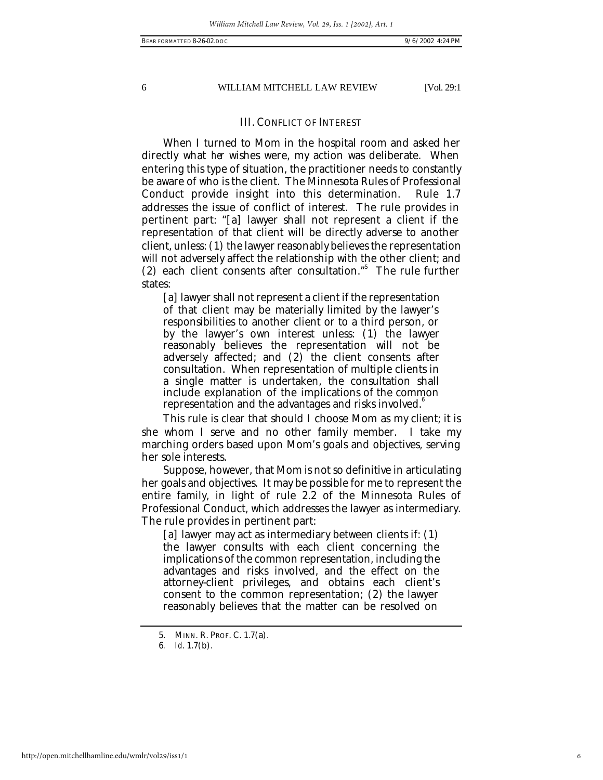6 WILLIAM MITCHELL LAW REVIEW [Vol. 29:1

#### III. CONFLICT OF INTEREST

When I turned to Mom in the hospital room and asked her directly what *her* wishes were, my action was deliberate. When entering this type of situation, the practitioner needs to constantly be aware of who is the client. The Minnesota Rules of Professional Conduct provide insight into this determination. Rule 1.7 addresses the issue of conflict of interest. The rule provides in pertinent part: "[a] lawyer shall not represent a client if the representation of that client will be directly adverse to another client, unless: (1) the lawyer reasonably believes the representation will not adversely affect the relationship with the other client; and (2) each client consents after consultation."<sup>5</sup> The rule further states:

[a] lawyer shall not represent a client if the representation of that client may be materially limited by the lawyer's responsibilities to another client or to a third person, or by the lawyer's own interest unless: (1) the lawyer reasonably believes the representation will not be adversely affected; and (2) the client consents after consultation. When representation of multiple clients in a single matter is undertaken, the consultation shall include explanation of the implications of the common representation and the advantages and risks involved.<sup>8</sup>

This rule is clear that should I choose Mom as my client; it is she whom I serve and no other family member. I take my marching orders based upon Mom's goals and objectives, serving her sole interests.

Suppose, however, that Mom is not so definitive in articulating her goals and objectives. It may be possible for me to represent the entire family, in light of rule 2.2 of the Minnesota Rules of Professional Conduct, which addresses the lawyer as intermediary. The rule provides in pertinent part:

[a] lawyer may act as intermediary between clients if: (1) the lawyer consults with each client concerning the implications of the common representation, including the advantages and risks involved, and the effect on the attorney-client privileges, and obtains each client's consent to the common representation; (2) the lawyer reasonably believes that the matter can be resolved on

<sup>5.</sup> MINN. R. PROF. C. 1.7(a).

<sup>6</sup>*. Id*. 1.7(b).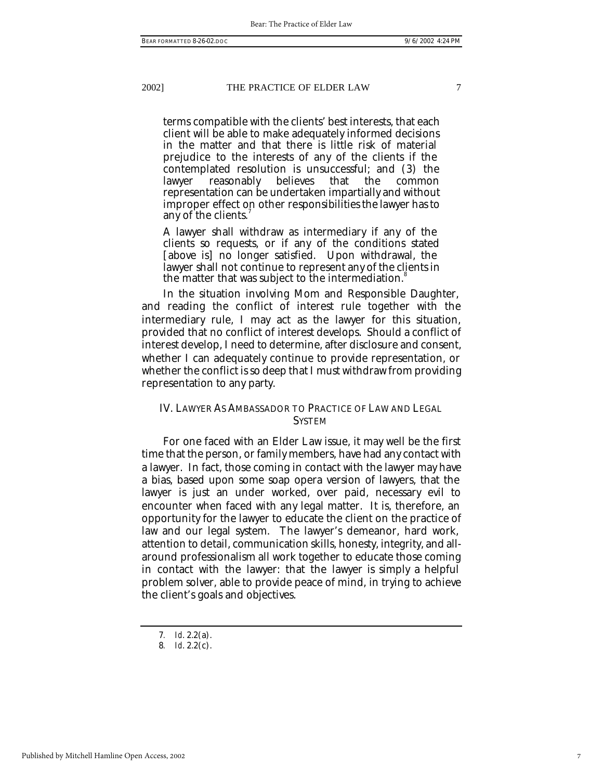#### 2002] THE PRACTICE OF ELDER LAW 7

terms compatible with the clients' best interests, that each client will be able to make adequately informed decisions in the matter and that there is little risk of material prejudice to the interests of any of the clients if the contemplated resolution is unsuccessful; and (3) the lawyer reasonably believes that the common representation can be undertaken impartially and without improper effect on other responsibilities the lawyer has to any of the clients.

A lawyer shall withdraw as intermediary if any of the clients so requests, or if any of the conditions stated [above is] no longer satisfied. Upon withdrawal, the lawyer shall not continue to represent any of the clients in the matter that was subject to the intermediation.<sup>8</sup>

In the situation involving Mom and Responsible Daughter, and reading the conflict of interest rule together with the intermediary rule, I may act as the lawyer for this situation, provided that no conflict of interest develops. Should a conflict of interest develop, I need to determine, after disclosure and consent, whether I can adequately continue to provide representation, or whether the conflict is so deep that I must withdraw from providing representation to any party.

#### IV. LAWYER AS AMBASSADOR TO PRACTICE OF LAW AND LEGAL **SYSTEM**

For one faced with an Elder Law issue, it may well be the first time that the person, or family members, have had any contact with a lawyer. In fact, those coming in contact with the lawyer may have a bias, based upon some soap opera version of lawyers, that the lawyer is just an under worked, over paid, necessary evil to encounter when faced with any legal matter. It is, therefore, an opportunity for the lawyer to educate the client on the practice of law and our legal system. The lawyer's demeanor, hard work, attention to detail, communication skills, honesty, integrity, and allaround professionalism all work together to educate those coming in contact with the lawyer: that the lawyer is simply a helpful problem solver, able to provide peace of mind, in trying to achieve the client's goals and objectives.

<sup>7</sup>*. Id*. 2.2(a).

<sup>8</sup>*. Id*. 2.2(c).